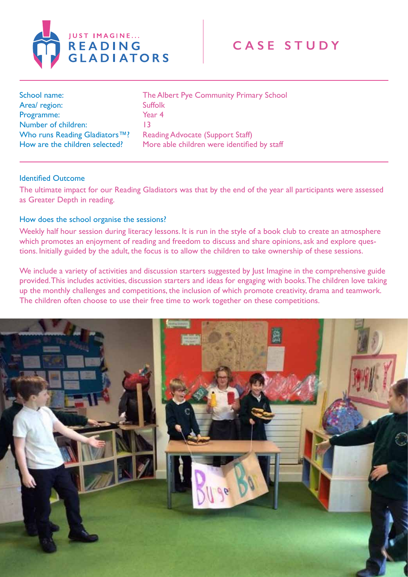

| School name:                                                                | The Albert Pye Community Primary School                                                |
|-----------------------------------------------------------------------------|----------------------------------------------------------------------------------------|
| Area/region:                                                                | <b>Suffolk</b>                                                                         |
| Programme:                                                                  | Year 4                                                                                 |
| Number of children:                                                         | 13                                                                                     |
| Who runs Reading Gladiators <sup>™?</sup><br>How are the children selected? | <b>Reading Advocate (Support Staff)</b><br>More able children were identified by staff |

## Identified Outcome

The ultimate impact for our Reading Gladiators was that by the end of the year all participants were assessed as Greater Depth in reading.

## How does the school organise the sessions?

Weekly half hour session during literacy lessons. It is run in the style of a book club to create an atmosphere which promotes an enjoyment of reading and freedom to discuss and share opinions, ask and explore questions. Initially guided by the adult, the focus is to allow the children to take ownership of these sessions.

We include a variety of activities and discussion starters suggested by Just Imagine in the comprehensive guide provided. This includes activities, discussion starters and ideas for engaging with books. The children love taking up the monthly challenges and competitions, the inclusion of which promote creativity, drama and teamwork. The children often choose to use their free time to work together on these competitions.